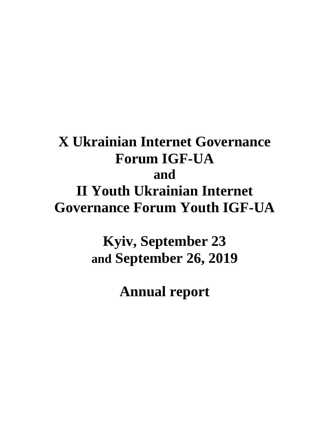# **X Ukrainian Internet Governance Forum IGF-UA and II Youth Ukrainian Internet Governance Forum Youth IGF-UA**

**Kyiv, September 23 and September 26, 2019**

**Annual report**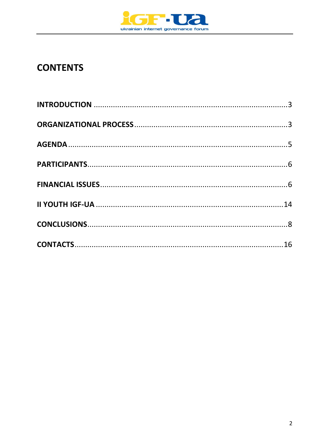

## **CONTENTS**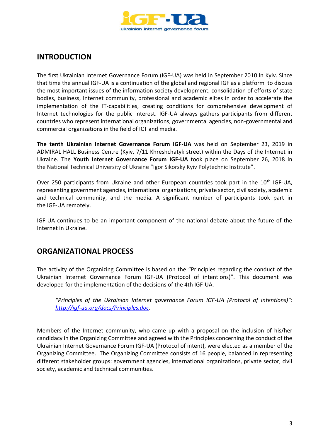

## <span id="page-2-0"></span>**INTRODUCTION**

The first Ukrainian Internet Governance Forum (IGF-UA) was held in September 2010 in Kyiv. Since that time the annual IGF-UA is a continuation of the global and regional IGF as a platform to discuss the most important issues of the information society development, consolidation of efforts of state bodies, business, Internet community, professional and academic elites in order to accelerate the implementation of the IT-capabilities, creating conditions for comprehensive development of Internet technologies for the public interest. IGF-UA always gathers participants from different countries who represent international organizations, governmental agencies, non-governmental and commercial organizations in the field of ICT and media.

**The tenth Ukrainian Internet Governance Forum IGF-UA** was held on September 23, 2019 in ADMIRAL HALL Business Centre (Kyiv, 7/11 Khreshchatyk street) within the Days of the Internet in Ukraine. The **Youth Internet Governance Forum IGF-UA** took place on September 26, 2018 in the National Technical University of Ukraine "Igor Sikorsky Kyiv Polytechnic Institute".

Over 250 participants from Ukraine and other European countries took part in the  $10<sup>th</sup>$  IGF-UA, representing government agencies, international organizations, private sector, civil society, academic and technical community, and the media. A significant number of participants took part in the IGF-UA remotely.

IGF-UA continues to be an important component of the national debate about the future of the Internet in Ukraine.

## <span id="page-2-1"></span>**ORGANIZATIONAL PROCESS**

The activity of the Organizing Committee is based on the "Principles regarding the conduct of the Ukrainian Internet Governance Forum IGF-UA (Protocol of intentions)". This document was developed for the implementation of the decisions of the 4th IGF-UA.

*"Principles of the Ukrainian Internet governance Forum IGF-UA (Protocol of intentions)": <http://igf-ua.org/docs/Principles.doc>*.

Members of the Internet community, who came up with a proposal on the inclusion of his/her candidacy in the Organizing Committee and agreed with the Principles concerning the conduct of the Ukrainian Internet Governance Forum IGF-UA (Protocol of intent), were elected as a member of the Organizing Committee. The Organizing Committee consists of 16 people, balanced in representing different stakeholder groups: government agencies, international organizations, private sector, civil society, academic and technical communities.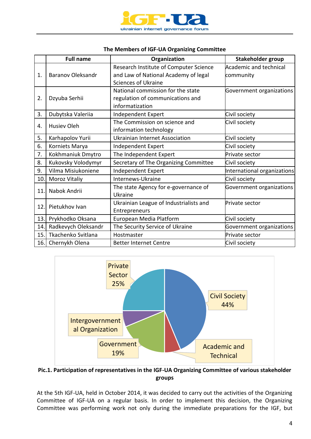

| The Members of IGF-UA Organizing Committee |  |  |
|--------------------------------------------|--|--|
|--------------------------------------------|--|--|

|     | <b>Full name</b>         | Organization                           | Stakeholder group             |
|-----|--------------------------|----------------------------------------|-------------------------------|
|     |                          | Research Institute of Computer Science | <b>Academic and technical</b> |
| 1.  | <b>Baranov Oleksandr</b> | and Law of National Academy of legal   | community                     |
|     |                          | <b>Sciences of Ukraine</b>             |                               |
|     |                          | National commission for the state      | Government organizations      |
| 2.  | Dzyuba Serhii            | regulation of communications and       |                               |
|     |                          | informatization                        |                               |
| 3.  | Dubytska Valeriia        | Independent Expert                     | Civil society                 |
| 4.  | <b>Husiev Oleh</b>       | The Commission on science and          | Civil society                 |
|     |                          | information technology                 |                               |
| 5.  | Karhapolov Yurii         | <b>Ukrainian Internet Association</b>  | Civil society                 |
| 6.  | Korniets Marya           | Independent Expert                     | Civil society                 |
| 7.  | Kokhmaniuk Dmytro        | The Independent Expert                 | Private sector                |
| 8.  | Kukovsky Volodymyr       | Secretary of The Organizing Committee  | Civil society                 |
| 9.  | Vilma Misiukoniene       | Independent Expert                     | International organizations   |
| 10. | Moroz Vitaliy            | Internews-Ukraine                      | Civil society                 |
|     |                          | The state Agency for e-governance of   | Government organizations      |
| 11. | Nabok Andrii             | Ukraine                                |                               |
|     |                          | Ukrainian League of Industrialists and | Private sector                |
| 12. | Pietukhov Ivan           | Entrepreneurs                          |                               |
| 13. | Prykhodko Oksana         | European Media Platform                | Civil society                 |
| 14. | Radkevych Oleksandr      | The Security Service of Ukraine        | Government organizations      |
| 15. | Tkachenko Svitlana       | Hostmaster                             | Private sector                |
|     | 16. Chernykh Olena       | <b>Better Internet Centre</b>          | Civil society                 |



**Pic.1. Participation of representatives in the IGF-UA Organizing Committee of various stakeholder groups**

At the 5th IGF-UA, held in October 2014, it was decided to carry out the activities of the Organizing Committee of IGF-UA on a regular basis. In order to implement this decision, the Organizing Committee was performing work not only during the immediate preparations for the IGF, but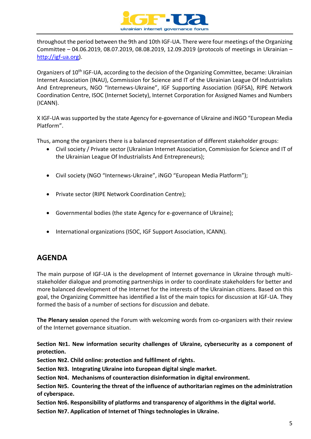

throughout the period between the 9th and 10th IGF-UA. There were four meetings of the Organizing Committee – 04.06.2019, 08.07.2019, 08.08.2019, 12.09.2019 (protocols of meetings in Ukrainian – [http://igf-ua.org\)](http://igf-ua.org/).

Organizers of 10th IGF-UA, according to the decision of the Organizing Committee, became: Ukrainian Internet Association (INAU), Commission for Science and IT of the Ukrainian League Of Industrialists And Entrepreneurs, NGO "Internews-Ukraine", IGF Supporting Association (IGFSA), RIPE Network Coordination Centre, ISOC (Internet Society), Internet Corporation for Assigned Names and Numbers (ICANN).

X IGF-UA was supported by the state Agency for e-governance of Ukraine and iNGO "European Media Platform".

Thus, among the organizers there is a balanced representation of different stakeholder groups:

- Civil society / Private sector (Ukrainian Internet Association, Commission for Science and IT of the Ukrainian League Of Industrialists And Entrepreneurs);
- Civil society (NGO "Internews-Ukraine", iNGO "European Media Platform");
- Private sector (RIPE Network Coordination Centre);
- Governmental bodies (the state Agency for e-governance of Ukraine);
- International organizations (ISOC, IGF Support Association, ICANN).

### <span id="page-4-0"></span>**AGENDA**

The main purpose of IGF-UA is the development of Internet governance in Ukraine through multistakeholder dialogue and promoting partnerships in order to coordinate stakeholders for better and more balanced development of the Internet for the interests of the Ukrainian citizens. Based on this goal, the Organizing Committee has identified a list of the main topics for discussion at IGF-UA. They formed the basis of a number of sections for discussion and debate.

**The Plenary session** opened the Forum with welcoming words from co-organizers with their review of the Internet governance situation.

**Section №1. New information security challenges of Ukraine, cybersecurity as a component of protection.**

**Section №2. Сhild online: protection and fulfilment of rights.**

**Section №3. Integrating Ukraine into European digital single market.**

**Section №4. Mechanisms of counteraction disinformation in digital environment.**

**Section №5. Countering the threat of the influence of authoritarian regimes on the administration of cyberspace.**

**Section №6. Responsibility of platforms and transparency of algorithms in the digital world.**

**Section №7. Application of Internet of Things technologies in Ukraine.**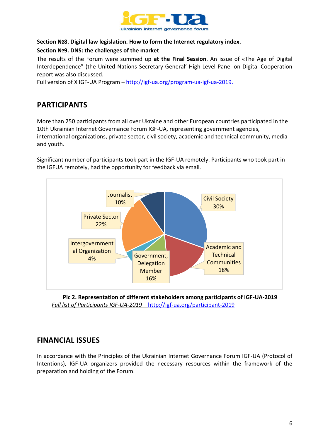

#### **Section №8. Digital law legislation. How to form the Internet regulatory index.**

#### **Section №9. DNS: the challenges of the market**

The results of the Forum were summed up **at the Final Session**. An issue of «The Age of Digital Interdependence" (the United Nations Secretary-General' High-Level Panel on Digital Cooperation report was also discussed.

Full version of X IGF-UA Program – [http://igf-ua.org/program-ua-igf-ua-2019.](http://igf-ua.org/program-ua-igf-ua-2019)

## <span id="page-5-0"></span>**PARTICIPANTS**

More than 250 participants from all over Ukraine and other European countries participated in the 10th Ukrainian Internet Governance Forum IGF-UA, representing government agencies, international organizations, private sector, civil society, academic and technical community, media and youth.

Significant number of participants took part in the IGF-UA remotely. Participants who took part in the IGFUA remotely, had the opportunity for feedback via email.



**Pic 2. Representation of different stakeholders among participants of IGF-UA-2019** *Full list of Participants IGF-UA-2019 –* http://igf-ua.org/participant-2019

## <span id="page-5-1"></span>**FINANCIAL ISSUES**

In accordance with the Principles of the Ukrainian Internet Governance Forum IGF-UA (Protocol of Intentions), IGF-UA organizers provided the necessary resources within the framework of the preparation and holding of the Forum.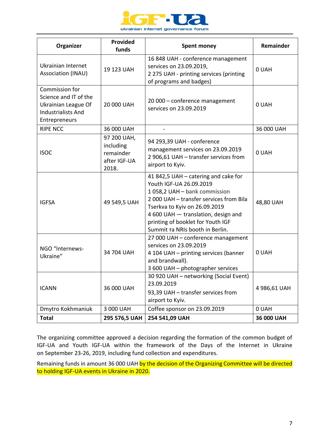

| Organizer                                                                                                    | Provided<br>funds                                                                                                                                                           | <b>Spent money</b>                                                                                                                                                                                                                                                                         | <b>Remainder</b> |
|--------------------------------------------------------------------------------------------------------------|-----------------------------------------------------------------------------------------------------------------------------------------------------------------------------|--------------------------------------------------------------------------------------------------------------------------------------------------------------------------------------------------------------------------------------------------------------------------------------------|------------------|
| Ukrainian Internet<br>Association (INAU)                                                                     | 19 123 UAH                                                                                                                                                                  | 16 848 UAH - conference management<br>services on 23.09.2019,<br>2 275 UAH - printing services (printing<br>of programs and badges)                                                                                                                                                        | 0 UAH            |
| Commission for<br>Science and IT of the<br>Ukrainian League Of<br><b>Industrialists And</b><br>Entrepreneurs | 20 000 UAH                                                                                                                                                                  | 20 000 - conference management<br>services on 23.09.2019                                                                                                                                                                                                                                   | 0 UAH            |
| <b>RIPE NCC</b>                                                                                              | 36 000 UAH                                                                                                                                                                  |                                                                                                                                                                                                                                                                                            | 36 000 UAH       |
| <b>ISOC</b>                                                                                                  | 97 200 UAH,<br>including<br>remainder<br>after IGF-UA<br>2018.                                                                                                              | 94 293,39 UAH - conference<br>management services on 23.09.2019<br>2 906,61 UAH - transfer services from<br>airport to Kyiv.                                                                                                                                                               | 0 UAH            |
| <b>IGFSA</b>                                                                                                 | 49 549,5 UAH                                                                                                                                                                | 41 842,5 UAH – catering and cake for<br>Youth IGF-UA 26.09.2019<br>1058,2 UAH - bank commission<br>2 000 UAH - transfer services from Bila<br>Tserkva to Kyiv on 26.09.2019<br>4 600 UAH - translation, design and<br>printing of booklet for Youth IGF<br>Summit Ta NRIs booth in Berlin. | 48,80 UAH        |
| NGO "Internews-<br>Ukraine"                                                                                  | 27 000 UAH - conference management<br>services on 23.09.2019<br>34 704 UAH<br>4 104 UAH - printing services (banner<br>and brandwall).<br>3 600 UAH - photographer services |                                                                                                                                                                                                                                                                                            | 0 UAH            |
| <b>ICANN</b>                                                                                                 | 36 000 UAH                                                                                                                                                                  | 30 920 UAH - networking (Social Event)<br>23.09.2019<br>93,39 UAH - transfer services from<br>airport to Kyiv.                                                                                                                                                                             | 4 986,61 UAH     |
| Dmytro Kokhmaniuk                                                                                            | 3 000 UAH                                                                                                                                                                   | Coffee sponsor on 23.09.2019                                                                                                                                                                                                                                                               | 0 UAH            |
| <b>Total</b>                                                                                                 | 295 576,5 UAH                                                                                                                                                               | 254 541,09 UAH                                                                                                                                                                                                                                                                             | 36 000 UAH       |

The organizing committee approved a decision regarding the formation of the common budget of IGF-UA and Youth IGF-UA within the framework of the Days of the Internet in Ukraine on September 23-26, 2019, including fund collection and expenditures.

Remaining funds in amount 36 000 UAH by the decision of the Organizing Committee will be directed to holding IGF-UA events in Ukraine in 2020.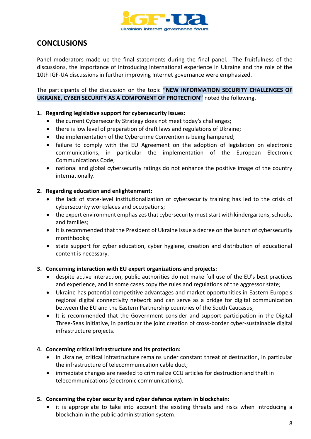

## <span id="page-7-0"></span>**CONCLUSIONS**

Panel moderators made up the final statements during the final panel. The fruitfulness of the discussions, the importance of introducing international experience in Ukraine and the role of the 10th IGF-UA discussions in further improving Internet governance were emphasized.

The participants of the discussion on the topic **"NEW INFORMATION SECURITY CHALLENGES OF UKRAINE, CYBER SECURITY AS A COMPONENT OF PROTECTION"** noted the following.

#### **1. Regarding legislative support for cybersecurity issues:**

- the current Cybersecurity Strategy does not meet today's challenges;
- there is low level of preparation of draft laws and regulations of Ukraine;
- the implementation of the Cybercrime Convention is being hampered;
- failure to comply with the EU Agreement on the adoption of legislation on electronic communications, in particular the implementation of the European Electronic Communications Code;
- national and global cybersecurity ratings do not enhance the positive image of the country internationally.

#### **2. Regarding education and enlightenment:**

- the lack of state-level institutionalization of cybersecurity training has led to the crisis of cybersecurity workplaces and occupations;
- the expert environment emphasizes that cybersecurity must start with kindergartens, schools, and families;
- It is recommended that the President of Ukraine issue a decree on the launch of cybersecurity monthbooks;
- state support for cyber education, cyber hygiene, creation and distribution of educational content is necessary.

#### **3. Concerning interaction with EU expert organizations and projects:**

- despite active interaction, public authorities do not make full use of the EU's best practices and experience, and in some cases copy the rules and regulations of the aggressor state;
- Ukraine has potential competitive advantages and market opportunities in Eastern Europe's regional digital connectivity network and can serve as a bridge for digital communication between the EU and the Eastern Partnership countries of the South Caucasus;
- It is recommended that the Government consider and support participation in the Digital Three-Seas Initiative, in particular the joint creation of cross-border cyber-sustainable digital infrastructure projects.

#### **4. Concerning critical infrastructure and its protection:**

- in Ukraine, critical infrastructure remains under constant threat of destruction, in particular the infrastructure of telecommunication cable duct;
- immediate changes are needed to criminalize CCU articles for destruction and theft in telecommunications (electronic communications).

#### **5. Concerning the cyber security and cyber defence system in blockchain:**

• it is appropriate to take into account the existing threats and risks when introducing a blockchain in the public administration system.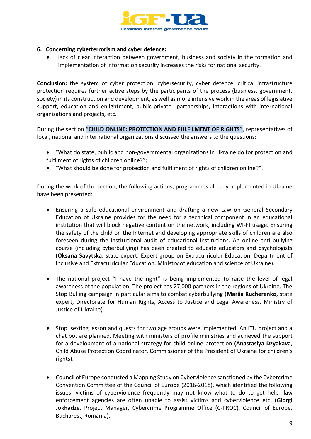

#### **6. Concerning cyberterrorism and cyber defence:**

lack of clear interaction between government, business and society in the formation and implementation of information security increases the risks for national security.

**Conclusion:** the system of cyber protection, cybersecurity, cyber defence, critical infrastructure protection requires further active steps by the participants of the process (business, government, society) in its construction and development, as well as more intensive work in the areas of legislative support, education and enlightment, public-private partnerships, interactions with international organizations and projects, etc.

During the section **"CHILD ONLINE: PROTECTION AND FULFILMENT OF RIGHTS"**, representatives of local, national and international organizations discussed the answers to the questions:

- "What do state, public and non-governmental organizations in Ukraine do for protection and fulfilment of rights of children online?";
- "What should be done for protection and fulfilment of rights of children online?".

During the work of the section, the following actions, programmes already implemented in Ukraine have been presented:

- Ensuring a safe educational environment and drafting a new Law on General Secondary Education of Ukraine provides for the need for a technical component in an educational institution that will block negative content on the network, including WI-FI usage. Ensuring the safety of the child on the Internet and developing appropriate skills of children are also foreseen during the institutional audit of educational institutions. An online anti-bullying course (including cyberbullying) has been created to educate educators and psychologists **(Oksana Savytska**, state expert, Expert group on Extracurricular Education, Department of Inclusive and Extracurricular Education, Ministry of education and science of Ukraine).
- The national project "I have the right" is being implemented to raise the level of legal awareness of the population. The project has 27,000 partners in the regions of Ukraine. The Stop Bulling campaign in particular aims to combat cyberbullying (**Mariia Kucherenko**, state expert, Directorate for Human Rights, Access to Justice and Legal Awareness, Ministry of Justice of Ukraine).
- Stop sexting lesson and quests for two age groups were implemented. An ITU project and a chat bot are planned. Meeting with ministers of profile ministries and achieved the support for a development of a national strategy for child online protection **(Anastasiya Dzyakava**, Child Abuse Protection Coordinator, Commissioner of the President of Ukraine for children's rights).
- Council of Europe conducted a Mapping Study on Cyberviolence sanctioned by the Cybercrime Convention Committee of the Council of Europe (2016-2018), which identified the following issues: victims of cyberviolence frequently may not know what to do to get help; law enforcement agencies are often unable to assist victims and cyberviolence etc. **(Giorgi Jokhadze**, Project Manager, Cybercrime Programme Office (C-PROC), Council of Europe, Bucharest, Romania).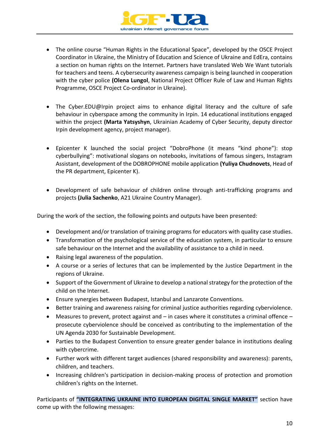

- The online course "Human Rights in the Educational Space", developed by the OSCE Project Coordinator in Ukraine, the Ministry of Education and Science of Ukraine and EdEra, contains a section on human rights on the Internet. Partners have translated Web We Want tutorials for teachers and teens. A cybersecurity awareness campaign is being launched in cooperation with the cyber police **(Olena Lungol**, National Project Officer Rule of Law and Human Rights Programme, OSCE Project Co-ordinator in Ukraine).
- The Cyber.EDU@Irpin project aims to enhance digital literacy and the culture of safe behaviour in cyberspace among the community in Irpin. 14 educational institutions engaged within the project **(Marta Yatsyshyn**, Ukrainian Academy of Cyber Security, deputy director Irpin development agency, project manager).
- Epicenter K launched the social project "DobroPhone (it means "kind phone"): stop cyberbullying": motivational slogans on notebooks, invitations of famous singers, Instagram Assistant, development of the DOBROPHONE mobile application **(Yuliya Chudnovets**, Head of the PR department, Epicenter K).
- Development of safe behaviour of children online through anti-trafficking programs and projects **(Julia Sachenko**, A21 Ukraine Country Manager).

During the work of the section, the following points and outputs have been presented:

- Development and/or translation of training programs for educators with quality case studies.
- Transformation of the psychological service of the education system, in particular to ensure safe behaviour on the Internet and the availability of assistance to a child in need.
- Raising legal awareness of the population.
- A course or a series of lectures that can be implemented by the Justice Department in the regions of Ukraine.
- Support of the Government of Ukraine to develop a national strategy for the protection of the child on the Internet.
- Ensure synergies between Budapest, Istanbul and Lanzarote Conventions.
- Better training and awareness raising for criminal justice authorities regarding cyberviolence.
- Measures to prevent, protect against and  $-$  in cases where it constitutes a criminal offence  $$ prosecute cyberviolence should be conceived as contributing to the implementation of the UN Agenda 2030 for Sustainable Development.
- Parties to the Budapest Convention to ensure greater gender balance in institutions dealing with cybercrime.
- Further work with different target audiences (shared responsibility and awareness): parents, children, and teachers.
- Increasing children's participation in decision-making process of protection and promotion children's rights on the Internet.

Participants of **"INTEGRATING UKRAINE INTO EUROPEAN DIGITAL SINGLE MARKET"** section have come up with the following messages: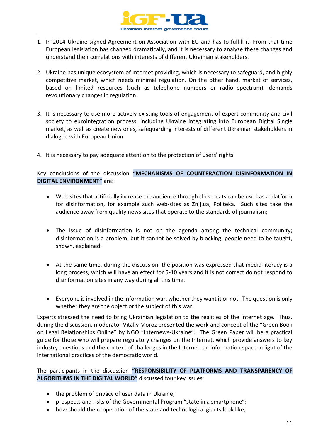

- 1. In 2014 Ukraine signed Agreement on Association with EU and has to fulfill it. From that time European legislation has changed dramatically, and it is necessary to analyze these changes and understand their correlations with interests of different Ukrainian stakeholders.
- 2. Ukraine has unique ecosystem of Internet providing, which is necessary to safeguard, and highly competitive market, which needs minimal regulation. On the other hand, market of services, based on limited resources (such as telephone numbers or radio spectrum), demands revolutionary changes in regulation.
- 3. It is necessary to use more actively existing tools of engagement of expert community and civil society to eurointegration process, including Ukraine integrating into European Digital Single market, as well as create new ones, safequarding interests of different Ukrainian stakeholders in dialogue with European Union.
- 4. It is necessary to pay adequate attention to the protection of users' rights.

#### Key conclusions of the discussion **"MECHANISMS OF COUNTERACTION DISINFORMATION IN DIGITAL ENVIRONMENT"** are:

- Web-sites that artificially increase the audience through click-beats can be used as a platform for disinformation, for example such web-sites as Znjj.ua, Politeka. Such sites take the audience away from quality news sites that operate to the standards of journalism;
- The issue of disinformation is not on the agenda among the technical community; disinformation is a problem, but it cannot be solved by blocking; people need to be taught, shown, explained.
- At the same time, during the discussion, the position was expressed that media literacy is a long process, which will have an effect for 5-10 years and it is not correct do not respond to disinformation sites in any way during all this time.
- Everyone is involved in the information war, whether they want it or not. The question is only whether they are the object or the subject of this war.

Experts stressed the need to bring Ukrainian legislation to the realities of the Internet age. Thus, during the discussion, moderator Vitaliy Moroz presented the work and concept of the "Green Book on Legal Relationships Online" by NGO "Internews-Ukraine". The Green Paper will be a practical guide for those who will prepare regulatory changes on the Internet, which provide answers to key industry questions and the context of challenges in the Internet, an information space in light of the international practices of the democratic world.

The participants in the discussion **"RESPONSIBILITY OF PLATFORMS AND TRANSPARENCY OF ALGORITHMS IN THE DIGITAL WORLD"** discussed four key issues:

- the problem of privacy of user data in Ukraine;
- prospects and risks of the Governmental Program "state in a smartphone";
- how should the cooperation of the state and technological giants look like;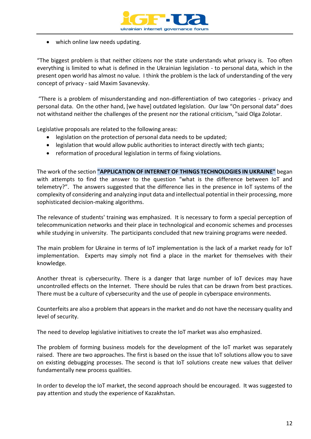

• which online law needs updating.

"The biggest problem is that neither citizens nor the state understands what privacy is. Too often everything is limited to what is defined in the Ukrainian legislation - to personal data, which in the present open world has almost no value. I think the problem is the lack of understanding of the very concept of privacy - said Maxim Savanevsky.

"There is a problem of misunderstanding and non-differentiation of two categories - privacy and personal data. On the other hand, [we have] outdated legislation. Our law "On personal data" does not withstand neither the challenges of the present nor the rational criticism, "said Olga Zolotar.

Legislative proposals are related to the following areas:

- legislation on the protection of personal data needs to be updated;
- legislation that would allow public authorities to interact directly with tech giants;
- reformation of procedural legislation in terms of fixing violations.

The work of the section **"APPLICATION OF INTERNET OF THINGS TECHNOLOGIES IN UKRAINE"** began with attempts to find the answer to the question "what is the difference between IoT and telemetry?". The answers suggested that the difference lies in the presence in IoT systems of the complexity of considering and analyzing input data and intellectual potential in their processing, more sophisticated decision-making algorithms.

The relevance of students' training was emphasized. It is necessary to form a special perception of telecommunication networks and their place in technological and economic schemes and processes while studying in university. The participants concluded that new training programs were needed.

The main problem for Ukraine in terms of IoT implementation is the lack of a market ready for IoT implementation. Experts may simply not find a place in the market for themselves with their knowledge.

Another threat is cybersecurity. There is a danger that large number of IoT devices may have uncontrolled effects on the Internet. There should be rules that can be drawn from best practices. There must be a culture of cybersecurity and the use of people in cyberspace environments.

Counterfeits are also a problem that appears in the market and do not have the necessary quality and level of security.

The need to develop legislative initiatives to create the IoT market was also emphasized.

The problem of forming business models for the development of the IoT market was separately raised. There are two approaches. The first is based on the issue that IoT solutions allow you to save on existing debugging processes. The second is that IoT solutions create new values that deliver fundamentally new process qualities.

In order to develop the IoT market, the second approach should be encouraged. It was suggested to pay attention and study the experience of Kazakhstan.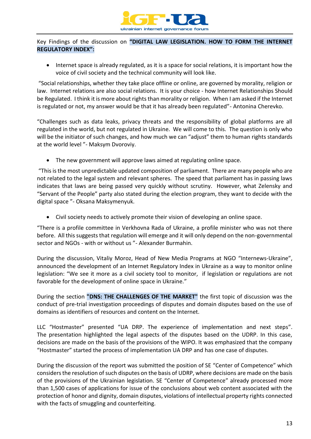

Key Findings of the discussion on **"DIGITAL LAW LEGISLATION. HOW TO FORM THE INTERNET REGULATORY INDEX":**

• Internet space is already regulated, as it is a space for social relations, it is important how the voice of civil society and the technical community will look like.

"Social relationships, whether they take place offline or online, are governed by morality, religion or law. Internet relations are also social relations. It is your choice - how Internet Relationships Should be Regulated. I think it is more about rights than morality or religion. When I am asked if the Internet is regulated or not, my answer would be that it has already been regulated"- Antonina Cherevko.

"Challenges such as data leaks, privacy threats and the responsibility of global platforms are all regulated in the world, but not regulated in Ukraine. We will come to this. The question is only who will be the initiator of such changes, and how much we can "adjust" them to human rights standards at the world level "- Maksym Dvoroviy.

• The new government will approve laws aimed at regulating online space.

"This is the most unpredictable updated composition of parliament. There are many people who are not related to the legal system and relevant spheres. The speed that parliament has in passing laws indicates that laws are being passed very quickly without scrutiny. However, what Zelensky and "Servant of the People" party also stated during the election program, they want to decide with the digital space "- Oksana Maksymenyuk.

• Civil society needs to actively promote their vision of developing an online space.

"There is a profile committee in Verkhovna Rada of Ukraine, a profile minister who was not there before. All this suggests that regulation will emerge and it will only depend on the non-governmental sector and NGOs - with or without us "- Alexander Burmahin.

During the discussion, Vitaliy Moroz, Head of New Media Programs at NGO "Internews-Ukraine", announced the development of an Internet Regulatory Index in Ukraine as a way to monitor online legislation: "We see it more as a civil society tool to monitor, if legislation or regulations are not favorable for the development of online space in Ukraine."

During the section **"DNS: THE CHALLENGES OF THE MARKET"** the first topic of discussion was the conduct of pre-trial investigation proceedings of disputes and domain disputes based on the use of domains as identifiers of resources and content on the Internet.

LLC "Hostmaster" presented "UA DRP. The experience of implementation and next steps". The presentation highlighted the legal aspects of the disputes based on the UDRP. In this case, decisions are made on the basis of the provisions of the WIPO. It was emphasized that the company "Hostmaster" started the process of implementation UA DRP and has one case of disputes.

During the discussion of the report was submitted the position of SE "Center of Competence" which considers the resolution of such disputes on the basis of UDRP, where decisions are made on the basis of the provisions of the Ukrainian legislation. SE "Center of Competence" already processed more than 1,500 cases of applications for issue of the conclusions about web content associated with the protection of honor and dignity, domain disputes, violations of intellectual property rights connected with the facts of smuggling and counterfeiting.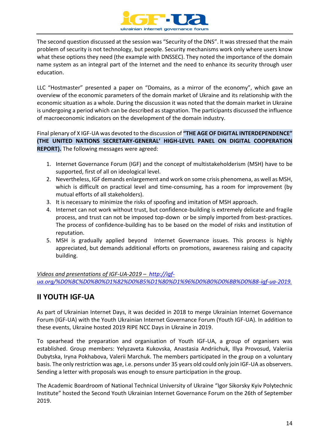

The second question discussed at the session was "Security of the DNS". It was stressed that the main problem of security is not technology, but people. Security mechanisms work only where users know what these options they need (the example with DNSSEC). They noted the importance of the domain name system as an integral part of the Internet and the need to enhance its security through user education.

LLC "Hostmaster" presented a paper on "Domains, as a mirror of the economy", which gave an overview of the economic parameters of the domain market of Ukraine and its relationship with the economic situation as a whole. During the discussion it was noted that the domain market in Ukraine is undergoing a period which can be described as stagnation. The participants discussed the influence of macroeconomic indicators on the development of the domain industry.

Final plenary of X IGF-UA was devoted to the discussion of **"THE AGE OF DIGITAL INTERDEPENDENCE" (THE UNITED NATIONS SECRETARY-GENERAL' HIGH-LEVEL PANEL ON DIGITAL COOPERATION REPORT).** The following messages were agreed:

- 1. Internet Governance Forum (IGF) and the concept of multistakeholderism (MSH) have to be supported, first of all on ideological level.
- 2. Nevertheless, IGF demands enlargement and work on some crisis phenomena, as well as MSH, which is difficult on practical level and time-consuming, has a room for improvement (by mutual efforts of all stakeholders).
- 3. It is necessary to minimize the risks of spoofing and imitation of MSH approach.
- 4. Internet can not work without trust, but confidence-building is extremely delicate and fragile process, and trust can not be imposed top-down or be simply imported from best-practices. The process of confidence-building has to be based on the model of risks and institution of reputation.
- 5. MSH is gradually applied beyond Internet Governance issues. This process is highly appreciated, but demands additional efforts on promotions, awareness raising and capacity building.

*Videos and presentations of IGF-UA-2019 – [http://igf](http://igf-ua.org/%D0%BC%D0%B0%D1%82%D0%B5%D1%80%D1%96%D0%B0%D0%BB%D0%B8-igf-ua-2019)[ua.org/%D0%BC%D0%B0%D1%82%D0%B5%D1%80%D1%96%D0%B0%D0%BB%D0%B8-igf-ua-2019.](http://igf-ua.org/%D0%BC%D0%B0%D1%82%D0%B5%D1%80%D1%96%D0%B0%D0%BB%D0%B8-igf-ua-2019)*

## <span id="page-13-0"></span>**II YOUTH IGF-UA**

As part of Ukrainian Internet Days, it was decided in 2018 to merge Ukrainian Internet Governance Forum (IGF-UA) with the Youth Ukrainian Internet Governance Forum (Youth IGF-UA). In addition to these events, Ukraine hosted 2019 RIPE NCC Days in Ukraine in 2019.

To spearhead the preparation and organisation of Youth IGF-UA, a group of organisers was established. Group members: Yelyzaveta Kukovska, Anastasia Andriichuk, Illya Provosud, Valeriia Dubytska, Iryna Pokhabova, Valerii Marchuk. The members participated in the group on a voluntary basis. The only restriction was age, i.e. persons under 35 years old could only join IGF-UA as observers. Sending a letter with proposals was enough to ensure participation in the group.

The Academic Boardroom of National Technical University of Ukraine "Igor Sikorsky Kyiv Polytechnic Institute" hosted the Second Youth Ukrainian Internet Governance Forum on the 26th of September 2019.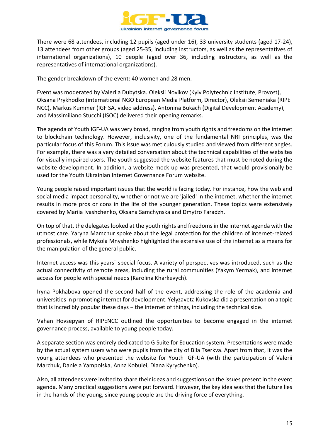

There were 68 attendees, including 12 pupils (aged under 16), 33 university students (aged 17-24), 13 attendees from other groups (aged 25-35, including instructors, as well as the representatives of international organizations), 10 people (aged over 36, including instructors, as well as the representatives of international organizations).

The gender breakdown of the event: 40 women and 28 men.

Event was moderated by Valeriia Dubytska. Oleksii Novikov (Kyiv Polytechnic Institute, Provost), Oksana Prykhodko (international NGO European Media Platform, Director), Oleksii Semeniaka (RIPE NCC), Markus Kummer (IGF SA, video address), Antonina Bukach (Digital Development Academy), and Massimiliano Stucchi (ISOC) delivered their opening remarks.

The agenda of Youth IGF-UA was very broad, ranging from youth rights and freedoms on the internet to blockchain technology. However, inclusivity, one of the fundamental NRI principles, was the particular focus of this Forum. This issue was meticulously studied and viewed from different angles. For example, there was a very detailed conversation about the technical capabilities of the websites for visually impaired users. The youth suggested the website features that must be noted during the website development. In addition, a website mock-up was presented, that would provisionally be used for the Youth Ukrainian Internet Governance Forum website.

Young people raised important issues that the world is facing today. For instance, how the web and social media impact personality, whether or not we are 'jailed' in the internet, whether the internet results in more pros or cons in the life of the younger generation. These topics were extensively covered by Mariia Ivashchenko, Oksana Samchynska and Dmytro Faradzh.

On top of that, the delegates looked at the youth rights and freedoms in the internet agenda with the utmost care. Yaryna Mamchur spoke about the legal protection for the children of internet-related professionals, while Mykola Mnyshenko highlighted the extensive use of the internet as a means for the manipulation of the general public.

Internet access was this years` special focus. A variety of perspectives was introduced, such as the actual connectivity of remote areas, including the rural communities (Yakym Yermak), and internet access for people with special needs (Karolina Kharkevych).

Iryna Pokhabova opened the second half of the event, addressing the role of the academia and universities in promoting internet for development. Yelyzaveta Kukovska did a presentation on a topic that is incredibly popular these days − the internet of things, including the technical side.

Vahan Hovsepyan of RIPENCC outlined the opportunities to become engaged in the internet governance process, available to young people today.

A separate section was entirely dedicated to G Suite for Education system. Presentations were made by the actual system users who were pupils from the city of Bila Tserkva. Apart from that, it was the young attendees who presented the website for Youth IGF-UA (with the participation of Valerii Marchuk, Daniela Yampolska, Anna Kobulei, Diana Kyrychenko).

Also, all attendees were invited to share their ideas and suggestions on the issues present in the event agenda. Many practical suggestions were put forward. However, the key idea was that the future lies in the hands of the young, since young people are the driving force of everything.